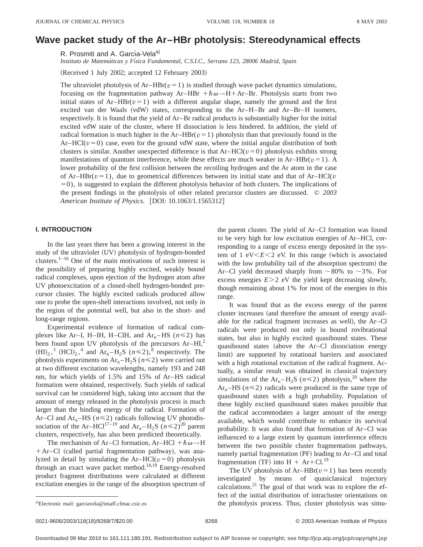# **Wave packet study of the Ar–HBr photolysis: Stereodynamical effects**

R. Prosmiti and A. García-Vela<sup>a)</sup>

*Instituto de Matema´ticas y Fı´sica Fundamental, C.S.I.C., Serrano 123, 28006 Madrid, Spain*

 $(Received 1 July 2002; accepted 12 February 2003)$ 

The ultraviolet photolysis of  $Ar-HBr(v=1)$  is studied through wave packet dynamics simulations, focusing on the fragmentation pathway Ar–HBr  $+\hbar\omega \rightarrow H+A r$ –Br. Photolysis starts from two initial states of Ar–HBr( $v=1$ ) with a different angular shape, namely the ground and the first excited van der Waals  $(vdW)$  states, corresponding to the Ar–H–Br and Ar–Br–H isomers, respectively. It is found that the yield of Ar–Br radical products is substantially higher for the initial excited vdW state of the cluster, where H dissociation is less hindered. In addition, the yield of radical formation is much higher in the Ar–HBr( $v=1$ ) photolysis than that previously found in the  $Ar-HCl(v=0)$  case, even for the ground vdW state, where the initial angular distribution of both clusters is similar. Another unexpected difference is that  $Ar-HCl(v=0)$  photolysis exhibits strong manifestations of quantum interference, while these effects are much weaker in  $Ar-HBr(v=1)$ . A lower probability of the first collision between the recoiling hydrogen and the Ar atom in the case of Ar–HBr( $v=1$ ), due to geometrical differences between its initial state and that of Ar–HCl( $v$  $(50)$ , is suggested to explain the different photolysis behavior of both clusters. The implications of the present findings in the photolysis of other related precursor clusters are discussed. © *2003 American Institute of Physics.* [DOI: 10.1063/1.1565312]

## **I. INTRODUCTION**

In the last years there has been a growing interest in the study of the ultraviolet (UV) photolysis of hydrogen-bonded clusters. $1-16$  One of the main motivations of such interest is the possibility of preparing highly excited, weakly bound radical complexes, upon ejection of the hydrogen atom after UV photoexcitation of a closed-shell hydrogen-bonded precursor cluster. The highly excited radicals produced allow one to probe the open-shell interactions involved, not only in the region of the potential well, but also in the short- and long-range regions.

Experimental evidence of formation of radical complexes like Ar–I, H–IH, H–ClH, and Ar<sub>n</sub>–HS ( $n \le 2$ ) has been found upon UV photolysis of the precursors  $Ar-HII$ ,<sup>2</sup>  $(HI)_2$ ,<sup>3</sup>  $(HCl)_2$ ,<sup>4</sup> and  $Ar_n-H_2S$   $(n \le 2)$ ,<sup>8</sup> respectively. The photolysis experiments on  $Ar_n-H_2S$  ( $n \le 2$ ) were carried out at two different excitation wavelengths, namely 193 and 248 nm, for which yields of 1.5% and 15% of Ar–HS radical formation were obtained, respectively. Such yields of radical survival can be considered high, taking into account that the amount of energy released in the photolysis process is much larger than the binding energy of the radical. Formation of Ar–Cl and Ar<sub>n</sub>–HS ( $n \le 2$ ) radicals following UV photodissociation of the Ar–HCl<sup>17–19</sup> and Ar<sub>n</sub>–H<sub>2</sub>S ( $n \le 2$ )<sup>20</sup> parent clusters, respectively, has also been predicted theoretically.

The mechanism of Ar–Cl formation, Ar–HCl  $+\hbar \omega \rightarrow H$  $+$ Ar–Cl (called partial fragmentation pathway), was analyzed in detail by simulating the  $Ar-HCl(v=0)$  photolysis through an exact wave packet method.<sup>18,19</sup> Energy-resolved product fragment distributions were calculated at different excitation energies in the range of the absorption spectrum of the parent cluster. The yield of Ar–Cl formation was found to be very high for low excitation energies of Ar–HCl, corresponding to a range of excess energy deposited in the system of 1 eV $\leq E \leq 2$  eV. In this range (which is associated with the low probability tail of the absorption spectrum) the Ar–Cl yield decreased sharply from  $\sim 80\%$  to  $\sim 3\%$ . For excess energies  $E > 2$  eV the yield kept decreasing slowly, though remaining about 1% for most of the energies in this range.

It was found that as the excess energy of the parent cluster increases (and therefore the amount of energy available for the radical fragment increases as well), the  $Ar-Cl$ radicals were produced not only in bound rovibrational states, but also in highly excited quasibound states. These quasibound states (above the  $Ar-Cl$  dissociation energy limit) are supported by rotational barriers and associated with a high rotational excitation of the radical fragment. Actually, a similar result was obtained in classical trajectory simulations of the  $Ar_n-H_2S$  ( $n \le 2$ ) photolysis,<sup>20</sup> where the Ar<sub>n</sub>–HS ( $n \le 2$ ) radicals were produced in the same type of quasibound states with a high probability. Population of these highly excited quasibound states makes possible that the radical accommodates a larger amount of the energy available, which would contribute to enhance its survival probability. It was also found that formation of Ar–Cl was influenced to a large extent by quantum interference effects between the two possible cluster fragmentation pathways, namely partial fragmentation  $(PF)$  leading to Ar–Cl and total fragmentation (TF) into  $H + Ar + Cl.<sup>19</sup>$ 

The UV photolysis of  $Ar-HBr(v=1)$  has been recently investigated by means of quasiclassical trajectory calculations. $^{21}$  The goal of that work was to explore the effect of the initial distribution of intracluster orientations on the photolysis process. Thus, cluster photolysis was simu-

Electronic mail: garciavela@imaff.cfmac.csic.es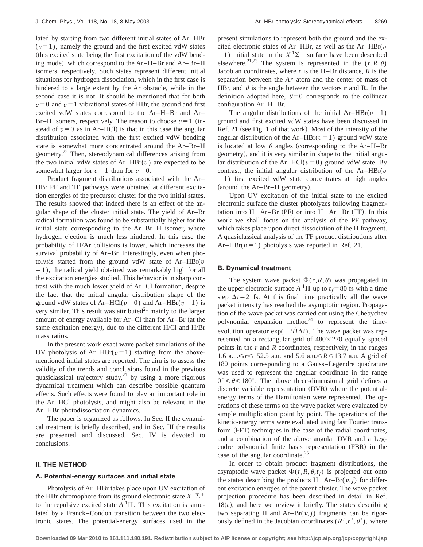lated by starting from two different initial states of Ar–HBr  $(v=1)$ , namely the ground and the first excited vdW states (this excited state being the first excitation of the vdW bending mode), which correspond to the  $Ar-H-Br$  and  $Ar-Br-H$ isomers, respectively. Such states represent different initial situations for hydrogen dissociation, which in the first case is hindered to a large extent by the Ar obstacle, while in the second case it is not. It should be mentioned that for both  $v=0$  and  $v=1$  vibrational states of HBr, the ground and first excited vdW states correspond to the Ar–H–Br and Ar– Br–H isomers, respectively. The reason to choose  $v=1$  (instead of  $v=0$  as in Ar–HCl) is that in this case the angular distribution associated with the first excited vdW bending state is somewhat more concentrated around the Ar–Br–H geometry.<sup>22</sup> Then, stereodynamical differences arising from the two initial vdW states of  $Ar-HBr(v)$  are expected to be somewhat larger for  $v=1$  than for  $v=0$ .

Product fragment distributions associated with the Ar– HBr PF and TF pathways were obtained at different excitation energies of the precursor cluster for the two initial states. The results showed that indeed there is an effect of the angular shape of the cluster initial state. The yield of Ar–Br radical formation was found to be substantially higher for the initial state corresponding to the Ar–Br–H isomer, where hydrogen ejection is much less hindered. In this case the probability of H/Ar collisions is lower, which increases the survival probability of Ar–Br. Interestingly, even when photolysis started from the ground vdW state of Ar–HBr(*v*  $=1$ ), the radical yield obtained was remarkably high for all the excitation energies studied. This behavior is in sharp contrast with the much lower yield of Ar–Cl formation, despite the fact that the initial angular distribution shape of the ground vdW states of Ar–HCl( $v=0$ ) and Ar–HBr( $v=1$ ) is very similar. This result was attributed $21$  mainly to the larger amount of energy available for  $Ar-Cl$  than for  $Ar-Br$  (at the same excitation energy), due to the different  $H/Cl$  and  $H/Br$ mass ratios.

In the present work exact wave packet simulations of the UV photolysis of Ar–HBr( $v=1$ ) starting from the abovementioned initial states are reported. The aim is to assess the validity of the trends and conclusions found in the previous quasiclassical trajectory study,<sup>21</sup> by using a more rigorous dynamical treatment which can describe possible quantum effects. Such effects were found to play an important role in the Ar–HCl photolysis, and might also be relevant in the Ar–HBr photodissociation dynamics.

The paper is organized as follows. In Sec. II the dynamical treatment is briefly described, and in Sec. III the results are presented and discussed. Sec. IV is devoted to conclusions.

### **II. THE METHOD**

#### **A. Potential-energy surfaces and initial state**

Photolysis of Ar–HBr takes place upon UV excitation of the HBr chromophore from its ground electronic state  $X^1\Sigma^+$ to the repulsive excited state  $A<sup>1</sup>\Pi$ . This excitation is simulated by a Franck–Condon transition between the two electronic states. The potential-energy surfaces used in the present simulations to represent both the ground and the excited electronic states of Ar–HBr, as well as the Ar–HBr(*v*  $=1$ ) initial state in the  $X<sup>1</sup>\Sigma$ <sup>+</sup> surface have been described elsewhere.<sup>21,23</sup> The system is represented in the  $(r, R, \theta)$ Jacobian coordinates, where  $r$  is the H–Br distance,  $R$  is the separation between the *Ar* atom and the center of mass of HBr, and  $\theta$  is the angle between the vectors **r** and **R**. In the definition adopted here,  $\theta=0$  corresponds to the collinear configuration Ar–H–Br.

The angular distributions of the initial  $Ar-HBr(v=1)$ ground and first excited vdW states have been discussed in Ref. 21 (see Fig. 1 of that work). Most of the intensity of the angular distribution of the Ar–HBr( $v=1$ ) ground vdW state is located at low  $\theta$  angles (corresponding to the Ar–H–Br geometry), and it is very similar in shape to the initial angular distribution of the Ar–HCl( $v=0$ ) ground vdW state. By contrast, the initial angular distribution of the Ar–HBr(*v*  $=1$ ) first excited vdW state concentrates at high angles  $(around the Ar-Br-H geometry).$ 

Upon UV excitation of the initial state to the excited electronic surface the cluster photolyzes following fragmentation into  $H + Ar - Br$  (PF) or into  $H + Ar + Br$  (TF). In this work we shall focus on the analysis of the PF pathway, which takes place upon direct dissociation of the H fragment. A quasiclassical analysis of the TF product distributions after Ar–HBr( $v=1$ ) photolysis was reported in Ref. 21.

#### **B. Dynamical treatment**

The system wave packet  $\Phi(r, R, \theta)$  was propagated in the upper electronic surface  $A<sup>1</sup>\Pi$  up to  $t_f = 80$  fs with a time step  $\Delta t=2$  fs. At this final time practically all the wave packet intensity has reached the asymptotic region. Propagation of the wave packet was carried out using the Chebychev polynomial expansion method<sup>24</sup> to represent the timeevolution operator  $exp(-i\hat{H}\Delta t)$ . The wave packet was represented on a rectangular grid of  $480\times270$  equally spaced points in the *r* and *R* coordinates, respectively, in the ranges 1.6 a.u.<*r*< 52.5 a.u. and 5.6 a.u.<*R*<13.7 a.u. A grid of 180 points corresponding to a Gauss–Legendre quadrature was used to represent the angular coordinate in the range  $0^{\circ} \le \theta \le 180^{\circ}$ . The above three-dimensional grid defines a discrete variable representation (DVR) where the potentialenergy terms of the Hamiltonian were represented. The operations of these terms on the wave packet were evaluated by simple multiplication point by point. The operations of the kinetic-energy terms were evaluated using fast Fourier transform (FFT) techniques in the case of the radial coordinates, and a combination of the above angular DVR and a Legendre polynomial finite basis representation (FBR) in the case of the angular coordinate.25

In order to obtain product fragment distributions, the asymptotic wave packet  $\Phi(r, R, \theta, t_f)$  is projected out onto the states describing the products  $H + Ar-Br(v, j)$  for different excitation energies of the parent cluster. The wave packet projection procedure has been described in detail in Ref.  $18(a)$ , and here we review it briefly. The states describing two separating H and  $Ar-Br(v, j)$  fragments can be rigorously defined in the Jacobian coordinates  $(R', r', \theta')$ , where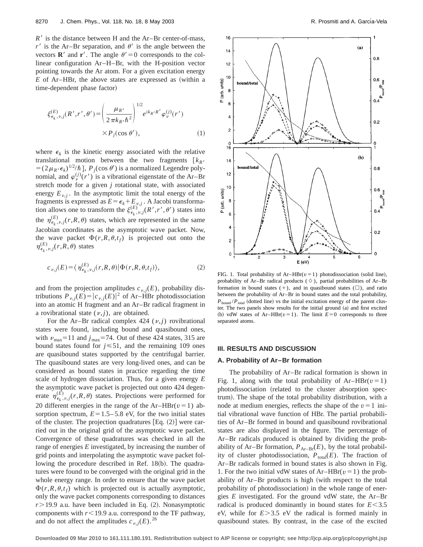$R'$  is the distance between H and the Ar–Br center-of-mass,  $r'$  is the Ar–Br separation, and  $\theta'$  is the angle between the vectors **R**<sup> $\prime$ </sup> and **r**<sup> $\prime$ </sup>. The angle  $\theta$ <sup> $\prime$ </sup> = 0 corresponds to the collinear configuration Ar–H–Br, with the H-position vector pointing towards the Ar atom. For a given excitation energy  $E$  of Ar–HBr, the above states are expressed as (within a time-dependent phase factor)

$$
\xi_{\epsilon_k,\nu,j}^{(E)}(R',r',\theta') = \left(\frac{\mu_{R'}}{2\pi k_R \cdot \hbar^2}\right)^{1/2} e^{ik_R \cdot R'} \varphi_{\nu}^{(j)}(r')
$$
  
 
$$
\times P_j(\cos\theta'), \tag{1}
$$

where  $\epsilon_k$  is the kinetic energy associated with the relative translational motion between the two fragments  $\begin{bmatrix} k_{R'} \end{bmatrix}$ translational motion between the two fragments  $[k_R, k] = (2\mu_R, \epsilon_k)^{1/2}/\hbar$ , *P<sub>j</sub>*(cos  $\theta'$ ) is a normalized Legendre polynomial, and  $\varphi_{\nu}^{(j)}(r')$  is a vibrational eigenstate of the Ar–Br stretch mode for a given *j* rotational state, with associated energy  $E_{\nu, j}$ . In the asymptotic limit the total energy of the fragments is expressed as  $E = \epsilon_k + \sum_{i=1}^{k} p_{i,j}$ . A Jacobi transformation allows one to transform the  $\xi_{\epsilon_k, \nu, j}^{(E)}(R', r', \theta')$  states into the  $\eta_{\epsilon_k, \nu, j}^{(E)}(r, R, \theta)$  states, which are represented in the same Jacobian coordinates as the asymptotic wave packet. Now, the wave packet  $\Phi(r, R, \theta, t_f)$  is projected out onto the  $\eta_{\epsilon_k, \nu, j}^{(E)}(r, R, \theta)$  states

$$
c_{\nu,j}(E) = \langle \eta_{\epsilon_k,\nu,j}^{(E)}(r,R,\theta) | \Phi(r,R,\theta,t_f) \rangle, \tag{2}
$$

and from the projection amplitudes  $c_{\nu, j}(E)$ , probability distributions  $P_{\nu, j}(E) = |c_{\nu, j}(E)|^2$  of Ar–HBr photodissociation into an atomic H fragment and an Ar–Br radical fragment in a rovibrational state  $(v, j)$ , are obtained.

For the Ar–Br radical complex  $424$  ( $\nu$ , *j*) rovibrational states were found, including bound and quasibound ones, with  $v_{\text{max}}=11$  and  $j_{\text{max}}=74$ . Out of these 424 states, 315 are bound states found for  $j \leq 51$ , and the remaining 109 ones are quasibound states supported by the centrifugal barrier. The quasibound states are very long-lived ones, and can be considered as bound states in practice regarding the time scale of hydrogen dissociation. Thus, for a given energy *E* the asymptotic wave packet is projected out onto 424 degenerate  $\eta_{\epsilon_k, \nu, j}^{(E)}(r, R, \theta)$  states. Projections were performed for 20 different energies in the range of the  $Ar-HBr(v=1)$  absorption spectrum,  $E=1.5-5.8$  eV, for the two initial states of the cluster. The projection quadratures  $[Eq. (2)]$  were carried out in the original grid of the asymptotic wave packet. Convergence of these quadratures was checked in all the range of energies *E* investigated, by increasing the number of grid points and interpolating the asymptotic wave packet following the procedure described in Ref.  $18(b)$ . The quadratures were found to be converged with the original grid in the whole energy range. In order to ensure that the wave packet  $\Phi(r, R, \theta, t_f)$  which is projected out is actually asymptotic, only the wave packet components corresponding to distances  $r$  19.9 a.u. have been included in Eq.  $(2)$ . Nonasymptotic components with  $r$ <19.9 a.u. correspond to the TF pathway, and do not affect the amplitudes  $c_{\nu, j}(E)$ .<sup>26</sup>



FIG. 1. Total probability of  $Ar-HBr(v=1)$  photodissociation (solid line), probability of Ar–Br radical products ( $\diamond$ ), partial probabilities of Ar–Br formation in bound states  $(+)$ , and in quasibound states  $(\Box)$ , and ratio between the probability of Ar–Br in bound states and the total probability,  $P_{\text{bound}}/P_{\text{total}}$  (dotted line) vs the initial excitation energy of the parent cluster. The two panels show results for the initial ground (a) and first excited (b) vdW states of Ar–HBr( $v=1$ ). The limit  $E=0$  corresponds to three separated atoms.

#### **III. RESULTS AND DISCUSSION**

## **A. Probability of Ar–Br formation**

The probability of Ar–Br radical formation is shown in Fig. 1, along with the total probability of  $Ar-HBr(v=1)$ photodissociation (related to the cluster absorption spectrum). The shape of the total probability distribution, with a node at medium energies, reflects the shape of the  $v=1$  initial vibrational wave function of HBr. The partial probabilities of Ar–Br formed in bound and quasibound rovibrational states are also displayed in the figure. The percentage of Ar–Br radicals produced is obtained by dividing the probability of Ar–Br formation,  $P_{Ar-Br}(E)$ , by the total probability of cluster photodissociation,  $P_{total}(E)$ . The fraction of Ar–Br radicals formed in bound states is also shown in Fig. 1. For the two initial vdW states of  $Ar-HBr(v=1)$  the probability of  $Ar-Br$  products is high (with respect to the total probability of photodissociation) in the whole range of energies *E* investigated. For the ground vdW state, the Ar–Br radical is produced dominantly in bound states for  $E < 3.5$ eV, while for  $E > 3.5$  eV the radical is formed mainly in quasibound states. By contrast, in the case of the excited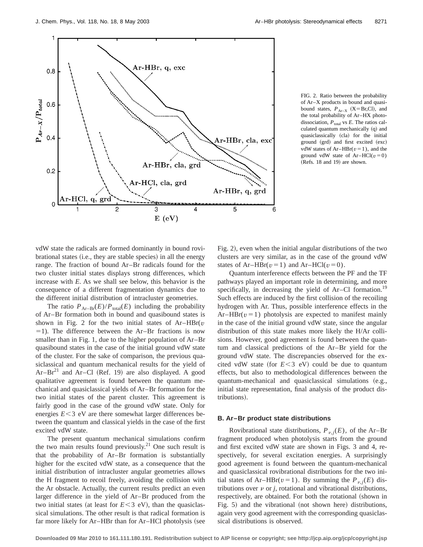

FIG. 2. Ratio between the probability of Ar–X products in bound and quasibound states,  $P_{Ar-X}$  (X=Br,Cl), and the total probability of Ar–HX photodissociation,  $P_{\text{total}}$  vs *E*. The ratios calculated quantum mechanically  $(q)$  and quasiclassically (cla) for the initial ground (grd) and first excited (exc) vdW states of  $Ar-HBr(v=1)$ , and the ground vdW state of  $Ar-HCl(v=0)$  $(Refs. 18 and 19)$  are shown.

vdW state the radicals are formed dominantly in bound rovi $b$ rational states  $(i.e., they are stable species)$  in all the energy range. The fraction of bound Ar–Br radicals found for the two cluster initial states displays strong differences, which increase with *E*. As we shall see below, this behavior is the consequence of a different fragmentation dynamics due to the different initial distribution of intracluster geometries.

The ratio  $P_{Ar-Br}(E)/P_{total}(E)$  including the probability of Ar–Br formation both in bound and quasibound states is shown in Fig. 2 for the two initial states of  $Ar-HBr(v)$  $=$ 1). The difference between the Ar–Br fractions is now smaller than in Fig. 1, due to the higher population of Ar–Br quasibound states in the case of the initial ground vdW state of the cluster. For the sake of comparison, the previous quasiclassical and quantum mechanical results for the yield of  $Ar-Br<sup>21</sup>$  and Ar–Cl (Ref. 19) are also displayed. A good qualitative agreement is found between the quantum mechanical and quasiclassical yields of Ar–Br formation for the two initial states of the parent cluster. This agreement is fairly good in the case of the ground vdW state. Only for energies  $E < 3$  eV are there somewhat larger differences between the quantum and classical yields in the case of the first excited vdW state.

The present quantum mechanical simulations confirm the two main results found previously.<sup>21</sup> One such result is that the probability of Ar–Br formation is substantially higher for the excited vdW state, as a consequence that the initial distribution of intracluster angular geometries allows the H fragment to recoil freely, avoiding the collision with the Ar obstacle. Actually, the current results predict an even larger difference in the yield of Ar–Br produced from the two initial states (at least for  $E < 3$  eV), than the quasiclassical simulations. The other result is that radical formation is far more likely for  $Ar-HBr$  than for  $Ar-HCl$  photolysis (see Fig. 2), even when the initial angular distributions of the two clusters are very similar, as in the case of the ground vdW states of Ar–HBr( $v=1$ ) and Ar–HCl( $v=0$ ).

Quantum interference effects between the PF and the TF pathways played an important role in determining, and more specifically, in decreasing the yield of  $Ar$ –Cl formation.<sup>19</sup> Such effects are induced by the first collision of the recoiling hydrogen with Ar. Thus, possible interference effects in the Ar–HBr( $v=1$ ) photolysis are expected to manifest mainly in the case of the initial ground vdW state, since the angular distribution of this state makes more likely the H/Ar collisions. However, good agreement is found between the quantum and classical predictions of the Ar–Br yield for the ground vdW state. The discrepancies observed for the excited vdW state (for  $E < 3$  eV) could be due to quantum effects, but also to methodological differences between the quantum-mechanical and quasiclassical simulations  $(e.g.,)$ initial state representation, final analysis of the product distributions).

#### **B. Ar–Br product state distributions**

Rovibrational state distributions,  $P_{\nu,i}(E)$ , of the Ar–Br fragment produced when photolysis starts from the ground and first excited vdW state are shown in Figs. 3 and 4, respectively, for several excitation energies. A surprisingly good agreement is found between the quantum-mechanical and quasiclassical rovibrational distributions for the two initial states of Ar–HBr( $v=1$ ). By summing the  $P_{v,i}(E)$  distributions over  $\nu$  or *j*, rotational and vibrational distributions, respectively, are obtained. For both the rotational (shown in Fig. 5) and the vibrational (not shown here) distributions, again very good agreement with the corresponding quasiclassical distributions is observed.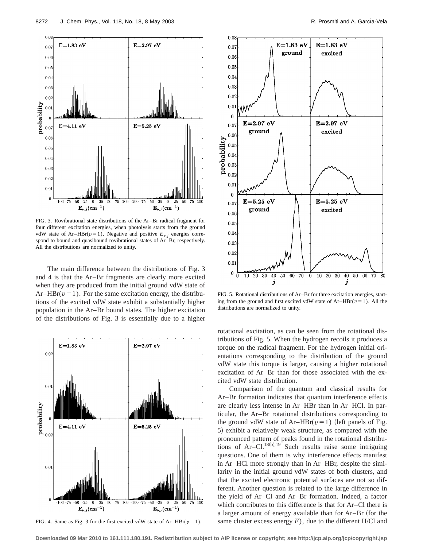

FIG. 3. Rovibrational state distributions of the Ar–Br radical fragment for four different excitation energies, when photolysis starts from the ground vdW state of Ar–HBr( $v=1$ ). Negative and positive  $E_{v,i}$  energies correspond to bound and quasibound rovibrational states of Ar–Br, respectively. All the distributions are normalized to unity.

The main difference between the distributions of Fig. 3 and 4 is that the Ar–Br fragments are clearly more excited when they are produced from the initial ground vdW state of  $Ar-HBr(v=1)$ . For the same excitation energy, the distributions of the excited vdW state exhibit a substantially higher population in the Ar–Br bound states. The higher excitation of the distributions of Fig. 3 is essentially due to a higher



FIG. 4. Same as Fig. 3 for the first excited vdW state of  $Ar-HBr(v=1)$ .



FIG. 5. Rotational distributions of Ar–Br for three excitation energies, starting from the ground and first excited vdW state of  $Ar-HBr(v=1)$ . All the distributions are normalized to unity.

rotational excitation, as can be seen from the rotational distributions of Fig. 5. When the hydrogen recoils it produces a torque on the radical fragment. For the hydrogen initial orientations corresponding to the distribution of the ground vdW state this torque is larger, causing a higher rotational excitation of Ar–Br than for those associated with the excited vdW state distribution.

Comparison of the quantum and classical results for Ar–Br formation indicates that quantum interference effects are clearly less intense in Ar–HBr than in Ar–HCl. In particular, the Ar–Br rotational distributions corresponding to the ground vdW state of Ar–HBr( $v=1$ ) (left panels of Fig. 5) exhibit a relatively weak structure, as compared with the pronounced pattern of peaks found in the rotational distributions of  $Ar-Cl.$ <sup>18(b),19</sup> Such results raise some intriguing questions. One of them is why interference effects manifest in Ar–HCl more strongly than in Ar–HBr, despite the similarity in the initial ground vdW states of both clusters, and that the excited electronic potential surfaces are not so different. Another question is related to the large difference in the yield of Ar–Cl and Ar–Br formation. Indeed, a factor which contributes to this difference is that for Ar–Cl there is a larger amount of energy available than for  $Ar-Br$  (for the same cluster excess energy  $E$ ), due to the different H/Cl and

**Downloaded 09 Mar 2010 to 161.111.180.191. Redistribution subject to AIP license or copyright; see http://jcp.aip.org/jcp/copyright.jsp**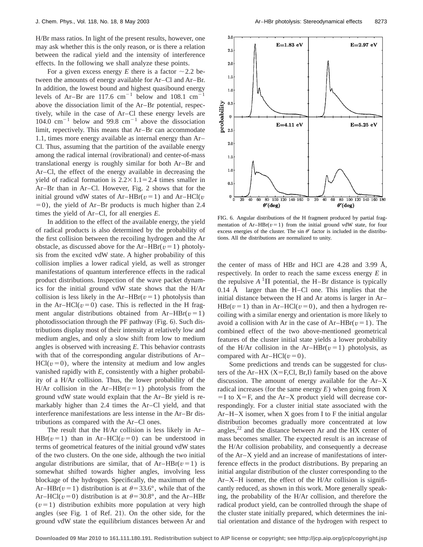H/Br mass ratios. In light of the present results, however, one may ask whether this is the only reason, or is there a relation between the radical yield and the intensity of interference effects. In the following we shall analyze these points.

For a given excess energy *E* there is a factor  $\sim$  2.2 between the amounts of energy available for Ar–Cl and Ar–Br. In addition, the lowest bound and highest quasibound energy levels of Ar–Br are 117.6  $cm^{-1}$  below and 108.1  $cm^{-1}$ above the dissociation limit of the Ar–Br potential, respectively, while in the case of Ar–Cl these energy levels are 104.0 cm<sup> $-1$ </sup> below and 99.8 cm<sup> $-1$ </sup> above the dissociation limit, repectively. This means that Ar–Br can accommodate 1.1, times more energy available as internal energy than Ar– Cl. Thus, assuming that the partition of the available energy among the radical internal (rovibrational) and center-of-mass translational energy is roughly similar for both Ar–Br and Ar–Cl, the effect of the energy available in decreasing the yield of radical formation is  $2.2 \times 1.1 = 2.4$  times smaller in Ar–Br than in Ar–Cl. However, Fig. 2 shows that for the initial ground vdW states of Ar–HBr( $v=1$ ) and Ar–HCl( $v=1$ )  $=0$ ), the yield of Ar–Br products is much higher than 2.4 times the yield of Ar–Cl, for all energies *E*.

In addition to the effect of the available energy, the yield of radical products is also determined by the probability of the first collision between the recoiling hydrogen and the Ar obstacle, as discussed above for the  $Ar-HBr(v=1)$  photolysis from the excited vdW state. A higher probability of this collision implies a lower radical yield, as well as stronger manifestations of quantum interference effects in the radical product distributions. Inspection of the wave packet dynamics for the initial ground vdW state shows that the H/Ar collision is less likely in the  $Ar-HBr(v=1)$  photolysis than in the Ar–HCl( $v=0$ ) case. This is reflected in the H fragment angular distributions obtained from  $Ar-HBr(v=1)$ photodissociation through the PF pathway (Fig.  $6$ ). Such distributions display most of their intensity at relatively low and medium angles, and only a slow shift from low to medium angles is observed with increasing *E*. This behavior contrasts with that of the corresponding angular distributions of Ar–  $HCl(v=0)$ , where the intensity at medium and low angles vanished rapidly with *E*, consistently with a higher probability of a H/Ar collision. Thus, the lower probability of the H/Ar collision in the Ar–HBr( $v=1$ ) photolysis from the ground vdW state would explain that the Ar–Br yield is remarkably higher than 2.4 times the Ar–Cl yield, and that interference manifestations are less intense in the Ar–Br distributions as compared with the Ar–Cl ones.

The result that the H/Ar collision is less likely in Ar– HBr( $v=1$ ) than in Ar–HCl( $v=0$ ) can be understood in terms of geometrical features of the initial ground vdW states of the two clusters. On the one side, although the two initial angular distributions are similar, that of  $Ar-HBr(v=1)$  is somewhat shifted towards higher angles, involving less blockage of the hydrogen. Specifically, the maximum of the Ar–HBr( $v=1$ ) distribution is at  $\theta$ =33.6°, while that of the Ar–HCl( $v=0$ ) distribution is at  $\theta=30.8^{\circ}$ , and the Ar–HBr  $(v=1)$  distribution exhibits more population at very high angles (see Fig. 1 of Ref. 21). On the other side, for the ground vdW state the equilibrium distances between Ar and



FIG. 6. Angular distributions of the H fragment produced by partial fragmentation of  $Ar-HBr(v=1)$  from the initial ground vdW state, for four excess energies of the cluster. The sin  $\theta'$  factor is included in the distributions. All the distributions are normalized to unity.

the center of mass of HBr and HCl are 4.28 and 3.99 Å, respectively. In order to reach the same excess energy *E* in the repulsive  $A<sup>1</sup>\Pi$  potential, the H–Br distance is typically  $0.14$  Å larger than the H–Cl one. This implies that the initial distance between the H and Ar atoms is larger in Ar– HBr( $v=1$ ) than in Ar–HCl( $v=0$ ), and then a hydrogen recoiling with a similar energy and orientation is more likely to avoid a collision with Ar in the case of  $Ar-HBr(v=1)$ . The combined effect of the two above-mentioned geometrical features of the cluster initial state yields a lower probability of the H/Ar collision in the Ar–HBr( $v=1$ ) photolysis, as compared with  $Ar-HCl(v=0)$ .

Some predictions and trends can be suggested for clusters of the Ar–HX  $(X = F, Cl, Br, I)$  family based on the above discussion. The amount of energy available for the Ar–X radical increases (for the same energy  $E$ ) when going from  $X$  $=$ I to X $=$ F, and the Ar–X product yield will decrease correspondingly. For a cluster initial state associated with the Ar–H–X isomer, when X goes from I to F the initial angular distribution becomes gradually more concentrated at low angles, $^{22}$  and the distance between Ar and the HX center of mass becomes smaller. The expected result is an increase of the H/Ar collision probability, and consequently a decrease of the Ar–X yield and an increase of manifestations of interference effects in the product distributions. By preparing an initial angular distribution of the cluster corresponding to the Ar–X–H isomer, the effect of the H/Ar collision is significantly reduced, as shown in this work. More generally speaking, the probability of the H/Ar collision, and therefore the radical product yield, can be controlled through the shape of the cluster state initially prepared, which determines the initial orientation and distance of the hydrogen with respect to